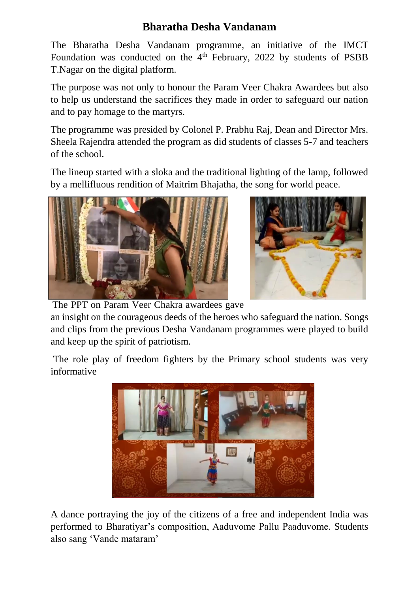## **Bharatha Desha Vandanam**

The Bharatha Desha Vandanam programme, an initiative of the IMCT Foundation was conducted on the 4<sup>th</sup> February, 2022 by students of PSBB T.Nagar on the digital platform.

The purpose was not only to honour the Param Veer Chakra Awardees but also to help us understand the sacrifices they made in order to safeguard our nation and to pay homage to the martyrs.

The programme was presided by Colonel P. Prabhu Raj, Dean and Director Mrs. Sheela Rajendra attended the program as did students of classes 5-7 and teachers of the school.

The lineup started with a sloka and the traditional lighting of the lamp, followed by a mellifluous rendition of Maitrim Bhajatha, the song for world peace.





The PPT on Param Veer Chakra awardees gave

an insight on the courageous deeds of the heroes who safeguard the nation. Songs and clips from the previous Desha Vandanam programmes were played to build and keep up the spirit of patriotism.

The role play of freedom fighters by the Primary school students was very informative



A dance portraying the joy of the citizens of a free and independent India was performed to Bharatiyar's composition, Aaduvome Pallu Paaduvome. Students also sang 'Vande mataram'